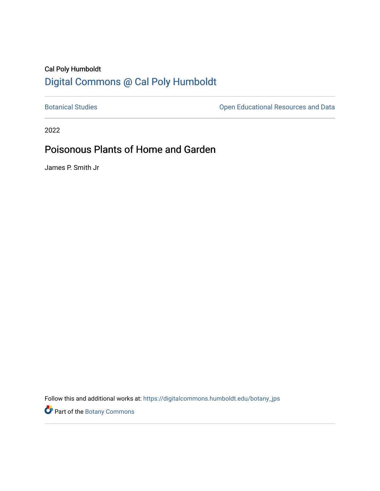## Cal Poly Humboldt [Digital Commons @ Cal Poly Humboldt](https://digitalcommons.humboldt.edu/)

[Botanical Studies](https://digitalcommons.humboldt.edu/botany_jps) **Botanical Studies Open Educational Resources and Data** 

2022

# Poisonous Plants of Home and Garden

James P. Smith Jr

Follow this and additional works at: [https://digitalcommons.humboldt.edu/botany\\_jps](https://digitalcommons.humboldt.edu/botany_jps?utm_source=digitalcommons.humboldt.edu%2Fbotany_jps%2F104&utm_medium=PDF&utm_campaign=PDFCoverPages) 

Part of the [Botany Commons](http://network.bepress.com/hgg/discipline/104?utm_source=digitalcommons.humboldt.edu%2Fbotany_jps%2F104&utm_medium=PDF&utm_campaign=PDFCoverPages)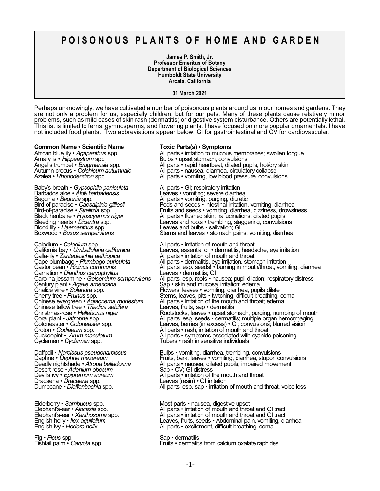## **P O I S O N O U S P L A N T S O F H O M E A N D G A R D E N**

**James P. Smith, Jr. Professor Emeritus of Botany Department of Biological Sciences Humboldt State University Arcata, California**

**31 March 2021**

Perhaps unknowingly, we have cultivated a number of poisonous plants around us in our homes and gardens. They are not only a problem for us, especially children, but for our pets. Many of these plants cause relatively minor problems, such as mild cases of skin rash (dermatitis) or digestive system disturbance. Others are potentially lethal. This list is limited to ferns, gymnosperms, and flowering plants. I have focused on more popular ornamentals. I have not included food plants. Two abbreviations appear below: GI for gastrointestinal and CV for cardiovascular.

**Common Name • Scientific Name Toxic Parts(s) • Symptoms** Amaryllis • Hippeastrum spp. The Sulbs • upset stomach, convulsions<br>Angel's trumpet • Brugmansia spp. The Rull parts • rapid heartbeat, dilated pu

Baby's-breath • *Gypsophila paniculata* All parts • GI; respiratory irritation Barbados aloe • *Alo*ë *barbadensis* Leaves • vomiting; severe diarrhea Begonia • *Begonia* spp. **All parts • vomiting, purging, diuretic** Blood lily • *Haemanthus* spp. **Leaves and bulbs • salivation; GI**<br>Boxwood • *Buxus sempervirens* **Example 1** Stems and leaves • stomach pair

Caladium • *Caladium* spp. <br>California bay • *Umbellularia californica* electronic Leaves, essential oil • dermatitis, heada Calla-lily • *Zantedeschia aethiopica* All parts • irritation of mouth and throat<br>Cape plumbago • *Plumbago auriculata* All parts • dermatitis, eye irritation, stom<br>Castor bean • *Ricinus communis* All parts, esp. seeds! • Carnation • *Dianthus caryophyllus* Leaves • dermatitis; GI Chinese evergreen • Aglaonema modestum<br>Chinese tallow tree • Triadica sebifera<br>Christmas-rose • Helleborus niger Croton • *Codiaeum* spp.  $\overline{\phantom{a}}$  All parts • rash, irritation of mouth and throat

Desert-rose • *Adenium obesum* Sap • CV; GI distress Dracaena • *Dracaena* spp. Leaves (resin) • GI irritation

Fig • *Ficus* spp. Sap • dermatitis = Sap • dermatitis = Sap • dermatitis = Sap • dermatitis = Sap • dermatiti

African blue lily • *Agapanthus* spp. <br>All parts • irritation to mucous membranes; swollen tongue<br>Amaryllis • *Hippeastrum* spp. **All parts • upset stomach, convulsions** Angel's trumpet • *Brugmansia* spp. All parts • rapid heartbeat, dilated pupils, hot/dry skin<br>Autumn-crocus • *Colchicum autumnale A*ll parts • nausea, diarrhea, circulatory coll All parts • nausea, diarrhea, circulatory collapse All parts • vomiting, low blood pressure, convulsions Bird-of-paradise • *Caesalpinia gilliesii* Pods and seeds • intestinal irritation, vomiting, diarrhea Bird-of-paradise • *Strelitzia* spp. Fruits and seeds • vomiting, diarrhea, dizziness, drowsiness Black henbane • *Hyoscyamus niger* All parts • flushed skin; hallucinations; dilated pupils Bird-of-paradise • *Caesalpinia gilliesii*<br>Bird-of-paradise • *Caesalpinia gilliesii* and secure intesting initiation, vomiting, diarrhea<br>Bird-of-paradise • *Strelitzia* spp. Fruits and seeds • vomiting, diarrhea, dizzines Stems and leaves • stomach pains, vomiting, diarrhea California bay • *Umbellularia californica* Leaves, essential oil • dermatitis, headache, eye irritation Cape plumbago • *Plumbago auriculata* All parts • dermatitis, eye irritation, stomach irritation Castor bean • *Ricinus communis* All parts, esp. seeds! • burning in mouth/throat, vomiting, diarrhea Carolina jessamine • *Gelsemium sempervirens* All parts, esp. roots • nausea; pupil dilation; respiratory distress<br>Century plant • *Agave americana*<br>Chalice vine • *Solandra* spp. **Exercicial Exercity Flowers, leaves • vom** Sap • skin and mucosal irritation; edema Chalice vine • *Solandra* spp. The state of Flowers, leaves • vomiting, diarrhea, pupils dilate Cherry tree • *Prunus* spp. Stems, leaves, pits • twitching, difficult breathing, coma All parts • *irritation of the mouth and throat; edema*<br>Leaves, fruits, sap • dermatitis Christmas-rose • *Helleborus niger* Rootstocks, leaves • upset stomach, purging, numbing of mouth Coral plant • *Jatropha* spp.  $\overline{\phantom{a}}$  All parts, esp. seeds • dermatitis; multiple organ hemorrhaging Cotoneaster • *Cotoneaster* spp. Leaves, berries (in excess) • GI; convulsions; blurred vision Croton • *Codiaeum* spp. The Cuckoopint • *Arum maculatum* All parts • rash, initation of mouth and throat Cuckoopint • *Arum maculatum*<br>
All parts • symptoms associated with cyanide poisoning Cyclamen • Cyclamen spp. Tube Tubers • rash in sensitive individuals

Daffodil • *Narcissus pseudonarcissus* Bulbs • vomiting, diarrhea, trembling, convulsions<br>Daphne • *Daphne mezereum* Fruits, bark, leaves • vomiting, diarrhea, stupor, co Daphne • *Daphne mezereum* Fruits, bark, leaves • vomiting, diarrhea, stupor, convulsions Deadly nightshade • *Atropa belladonna* All parts • nausea, dilated pupils; impaired movement Devil's ivy • *Epipremum aureum* All parts • irritation of the mouth and throat Dumbcane • *Dieffenbachia* spp. **All parts, esp. sap • irritation of mouth and throat, voice loss Discoverse in the All parts, esp. sap • irritation of mouth and throat, voice loss** 

Elderberry • *Sambucus* spp. Most parts • nausea, digestive upset All parts • *irritation of mouth and throat and GI tract* All parts • *irritation of mouth and throat and GI tract* English holly • *Ilex aquifolium*<br>
English ivy • *Hedera helix*<br>
All parts • excitement, difficult breathing, coma All parts • excitement, difficult breathing, coma

Fruits • dermatitis from calcium oxalate raphides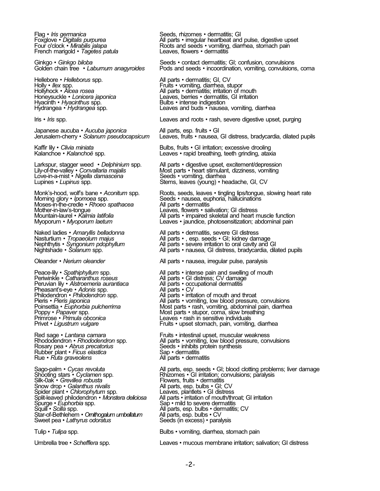French marigold • Tagetes patula

Hellebore • *Helleborus* spp. All parts • dermatitis; GI, CV Hyacinth • *Hyacinthus* spp.<br>Hydrangea • *Hydrangea* spp.

Japanese aucuba • *Aucuba japonica* All parts, esp. fruits • GI<br>Jerusalem-cherry • *Solanum pseudocapsicum* Leaves, fruits • nausea,

Larkspur, stagger weed • *Delphinium* spp.<br>Lily-of-the-valley • *Convallaria majalis*<br>Love-in-a-mist • *Nigella damascena*<br>Lupines • *Lupinus* spp.

Moses-in-the-credle • *Rhoeo spathacea*<br>Mother-in-law's-tongue<br>Mountain-laurel • *Kalmia latifolia*<br>Myoporum • *Myoporum laetum* Mother-in-law's-tongue Leaves, flowers • salivation; GI distress

Peruvian lily • Alstroemeria *aurantiaca* Pheasant's-eye • *Adonis* spp.<br>Philodendron • *Philodendron* spp. Primrose • *Primula obconica* Leaves • rash in sensitive individuals<br>Privet • *Ligustrum vulgare* **Leaves • Contains • Fruits • upset stomach**, pain, vomiting

Rubber plant • *Ficus elastica* Sap • dermatitis<br>Rue • *Ruta graveolens* Sap • dermatitis **Rue • Ruta graveolens** 

Snow drop • *Galanthus nivalis* All parts, esp. bulbs • GI; CV Spider plant • *Chlorophytum* spp. Leaves, plantlets • GI distress Star-of-Bethlehem • *Omithogalum umbellatum*<br>Sweet pea • Lathyrus odoratus

Flag • *Iris germanica* entity of the Seeds, rhizomes • dermatitis; GI<br>
Foxglove • Digitalis purpurea entity of All parts • irregular heartbeat and Foxglove • *Digitalis purpurea* All parts • irregular heartbeat and pulse, digestive upset Four o'clock • *Mirabilis jalapa* Roots and seeds • vomiting, diarrhea, stomach pain Roots and seeds • vomiting, diarrhea, stomach pain<br>Leaves, flowers • dermatitis

Ginkgo • *Ginkgo biloba* Seeds • contact dermatitis; GI; confusion, convulsions<br>
Golden chain tree • Laburnum anagyroides Pods and seeds • incoordination, vomiting, convulsions Pods and seeds • *incoordination*, vomiting, convulsions, coma

Fruits • vomiting, diarrhea, stupor Hollyhock • *Alcea rosea* and *All parts* • dermatitis; irritation of mouth **Honeysuckle** • *Lonicera japonica* **All parts** • dermatitis, GI irritation Leaves, berries • dermatitis, GI irritation<br>Bulbs • intense indigestion Leaves and buds • nausea, vomiting, diarrhea

Iris • *Iris* spp. **Leaves and roots • rash, severe digestive upset, purging** line • rash, severe digestive upset, purging

Jerusalem-cherry • *Solanum pseudocapsicum* Leaves, fruits • nausea, GI distress, bradycardia, dilated pupils

Kaffir lily • *Clivia miniata* and the section of Bulbs, fruits • GI irritation; excessive drooling <br>
Kalanchoe • *Kalanchoë* spp. **Example 18 and the section of the section of the section of the section of the section of** Leaves • rapid breathing, teeth grinding, ataxia

> All parts • digestive upset, excitement/depression Most parts • heart stimulant, dizziness, vomiting<br>Seeds • vomiting, diarrhea Stems, leaves (young) • headache, GI, CV

Monk's-hood, wolf's bane • *Aconitum* spp. Roots, seeds, leaves • tingling lips/tongue, slowing heart rate Morning glory • *Ipomoea* spp. Seeds • nausea, euphoria, hallucinations Seeds • nausea, euphoria, hallucinations<br>All parts • dermatitis Mountain-laurel • *Kalmia latifolia* All parts • impaired skeletal and heart muscle function Leaves • *jaundice*, photosensitization; abdominal pain

Naked ladies • *Amaryllis belladonna* All parts • dermatitis, severe GI distress<br>
Nasturtium • *Tropaeolum majus* All parts •, esp. seeds • GI; kidney dan<br>
Nephthytis • *Syngonium pdophyllum* All parts • severe irritation Nasturtium • *Tropaeolum majus* All parts • , esp. seeds • GI; kidney damage Nephthytis • *Syngonium pdophyllum* All parts • severe irritation to oral cavity and GI All parts • nausea, GI distress, bradycardia, dilated pupils Oleander • *Nerium oleander* All parts • nausea, irregular pulse, paralysis Peace-lily • *Spathiphyllum* spp. <br> **All parts • intense pain and swelling of mouth Periwinkle • Catharanthus roseus** 

All parts • GI distress; CV damage<br>All parts • occupational dermatitis<br>All parts • CV Philodendron • *Philodendron* spp. <br>Pieris • *Pieris japonica* entity of all parts • vomiting, low blood pressure Pieris • *Pieris japonica* All parts • vomiting, low blood pressure, convulsions Poinsettia • *Euphorbia pulcherrima* Most parts • rash, vomiting, abdominal pain, diarrhea Poinsettia • *Euphorbia pulcherrima*<br>
Poinsettia • *Euphorbia pulcherrima*<br>
Poppy • *Papaver* spp. Most parts • stupor, coma, slow breathing<br>
Primrose • Primula obconica<br>
Primrose • Primula obconica<br>
Leaves • rash in sensi Fruits • upset stomach, pain, vomiting, diarrhea

Red sage • *Lantana camara* Fruits • intestinal upset, muscular weakness Rhododendron • *Rhododendron* spp. All parts • vomiting, low blood pressure, convulsions<br>Rosary pea • *Abrus precatorius* Seeds • inhibits protein synthesis Seeds • *inhibits protein synthesis* Sap • dermatitis

Sago-palm • *Cycas revoluta* and all parts, esp. seeds • GI; blood clotting problems; liver damage Shooting stars • *Cyclamen* spp. **All parts, esp. seeds • GI** irritation; convulsions; paralysis Shooting stars • *Cyclamen* spp. Rhizomes • GI irritation; convulsions; paralysis Silk-0ak • Grevillea robusta Flowers, fruits • dermatitis<br>All parts, esp. bulbs • GI, CV<br>Leaves, plantlets • GI distress Split-leaved philodendron • *Monstera deliciosa* All parts • irritation of mouth/throat; GI irritation Sap • mild to severe dermatitis All parts, esp. bulbs • dermatitis; CV<br>All parts, esp. bulbs • CV Seeds (in excess) • paralysis

Tulip • *Tulipa* spp. Bulbs • vomiting, diarrhea, stomach pain

Umbrella tree • *Schefflera* spp. Leaves • mucous membrane irritation; salivation; GI distress